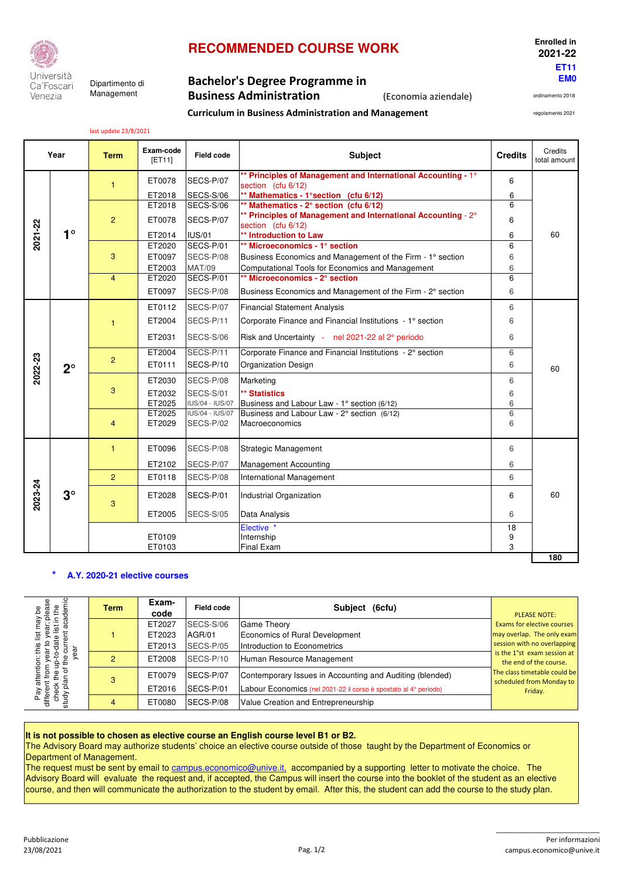

Ca'Foscari Management Venezia

# **RECOMMENDED COURSE WORK Enrolled in**

**Curriculum in Business Administration and Management**

### **EM0** Dipartimento di **Bachelor's Degree Programme in Business Administration** (Economia aziendale)

**ET11**

 **2021-22**

ordinamento 2018

regolamento 2021

last update 23/8/2021

| $\mathbf{1}$                             | ET0078<br>ET2018<br>ET2018<br>ET0078 | SECS-P/07<br>SECS-S/06<br>SECS-S/06 | ** Principles of Management and International Accounting - 1°<br>section (cfu 6/12)<br>** Mathematics - 1° section (cfu 6/12) | 6  |     |  |  |  |
|------------------------------------------|--------------------------------------|-------------------------------------|-------------------------------------------------------------------------------------------------------------------------------|----|-----|--|--|--|
|                                          |                                      |                                     |                                                                                                                               |    |     |  |  |  |
|                                          |                                      |                                     |                                                                                                                               | 6  |     |  |  |  |
|                                          |                                      |                                     | ** Mathematics - 2° section (cfu 6/12)                                                                                        | 6  |     |  |  |  |
| $\overline{2}$<br>2021-22                |                                      | SECS-P/07                           | ** Principles of Management and International Accounting - 2°<br>section (cfu 6/12)                                           | 6  |     |  |  |  |
| $1^{\circ}$                              | ET2014                               | <b>IUS/01</b>                       | ** Introduction to Law                                                                                                        | 6  | 60  |  |  |  |
|                                          | ET2020                               | SECS-P/01                           | ** Microeconomics - 1° section                                                                                                | 6  |     |  |  |  |
| 3                                        | ET0097                               | SECS-P/08                           | Business Economics and Management of the Firm - 1° section                                                                    | 6  |     |  |  |  |
|                                          | ET2003                               | <b>MAT/09</b>                       | Computational Tools for Economics and Management                                                                              | 6  |     |  |  |  |
| $\overline{4}$                           | ET2020                               | SECS-P/01                           | ** Microeconomics - 2° section                                                                                                | 6  |     |  |  |  |
|                                          | ET0097                               | SECS-P/08                           | Business Economics and Management of the Firm - 2° section                                                                    | 6  |     |  |  |  |
|                                          | ET0112                               | SECS-P/07                           | <b>Financial Statement Analysis</b>                                                                                           | 6  |     |  |  |  |
| $\mathbf{1}$                             | ET2004                               | SECS-P/11                           | Corporate Finance and Financial Institutions - 1° section                                                                     | 6  |     |  |  |  |
|                                          | ET2031                               | SECS-S/06                           | Risk and Uncertainty - nel 2021-22 al 2° periodo                                                                              |    |     |  |  |  |
|                                          | ET2004                               | SECS-P/11                           | Corporate Finance and Financial Institutions - 2° section                                                                     | 6  |     |  |  |  |
| 2022-23<br>$\overline{2}$<br>$2^{\circ}$ | ET0111                               | SECS-P/10                           | <b>Organization Design</b>                                                                                                    | 6  | 60  |  |  |  |
|                                          | ET2030                               | SECS-P/08                           | Marketing                                                                                                                     | 6  |     |  |  |  |
| 3                                        | ET2032                               | SECS-S/01                           | ** Statistics                                                                                                                 | 6  |     |  |  |  |
|                                          | ET2025                               | IUS/04 - IUS/07                     | Business and Labour Law - 1° section (6/12)                                                                                   | 6  |     |  |  |  |
|                                          | ET2025                               | <b>IUS/04 - IUS/07</b>              | Business and Labour Law - 2° section (6/12)                                                                                   | 6  |     |  |  |  |
| $\overline{4}$                           | ET2029                               | SECS-P/02                           | Macroeconomics                                                                                                                | 6  |     |  |  |  |
| $\mathbf{1}$                             | ET0096<br>SECS-P/08                  |                                     | <b>Strategic Management</b>                                                                                                   | 6  |     |  |  |  |
|                                          | ET2102                               | SECS-P/07                           | <b>Management Accounting</b>                                                                                                  | 6  |     |  |  |  |
| 2                                        | SECS-P/08<br>ET0118                  |                                     | International Management                                                                                                      | 6  |     |  |  |  |
| 2023-24<br>$3^\circ$<br>3                | ET2028                               | SECS-P/01                           | Industrial Organization                                                                                                       | 6  | 60  |  |  |  |
|                                          | ET2005                               | SECS-S/05                           | Data Analysis                                                                                                                 | 6  |     |  |  |  |
|                                          |                                      |                                     | Elective *                                                                                                                    | 18 |     |  |  |  |
|                                          | ET0109                               |                                     | Internship                                                                                                                    | 9  |     |  |  |  |
|                                          | ET0103                               |                                     | <b>Final Exam</b>                                                                                                             | 3  | 180 |  |  |  |

#### **\* A.Y. 2020-21 elective courses**

| ease<br>Le<br>₾                                                                                 | Term | Exam-<br>code              | Field code                             | $(6$ cfu $)$<br><b>Subject</b>                                                                                               | <b>PLEASE NOTE:</b>                                                                                                                 |  |
|-------------------------------------------------------------------------------------------------|------|----------------------------|----------------------------------------|------------------------------------------------------------------------------------------------------------------------------|-------------------------------------------------------------------------------------------------------------------------------------|--|
| Ξ.<br>Ξ<br>ೆ<br>$\overline{\mathfrak{a}}$<br>ഇ<br>yea<br>Ф<br>ᅙ<br>Pay<br>differe<br>study<br>흉 |      | ET2027<br>ET2023<br>ET2013 | SECS-S/06<br>AGR/01<br>SECS-P/05       | <b>Game Theory</b><br>Economics of Rural Development<br>Introduction to Econometrics                                         | Exams for elective courses<br>may overlap. The only exam<br>session with no overlapping<br>is the 1 <sup>°</sup> st exam session at |  |
|                                                                                                 |      | ET2008                     | SECS-P/10<br>Human Resource Management |                                                                                                                              |                                                                                                                                     |  |
|                                                                                                 | 3    | ET0079<br>ET2016           | <b>ISECS-P/07</b><br>SECS-P/01         | Contemporary Issues in Accounting and Auditing (blended)<br>Labour Economics (nel 2021-22 il corso è spostato al 4º periodo) | The class timetable could be<br>scheduled from Monday to<br>Friday.                                                                 |  |
|                                                                                                 |      | ET0080                     | <b>SECS-P/08</b>                       | Value Creation and Entrepreneurship                                                                                          |                                                                                                                                     |  |

#### **It is not possible to chosen as elective course an English course level B1 or B2.**

The Advisory Board may authorize students' choice an elective course outside of those taught by the Department of Economics or Department of Management.

The request must be sent by email to campus.economico@unive.it, accompanied by a supporting letter to motivate the choice. The Advisory Board will evaluate the request and, if accepted, the Campus will insert the course into the booklet of the student as an elective course, and then will communicate the authorization to the student by email. After this, the student can add the course to the study plan.